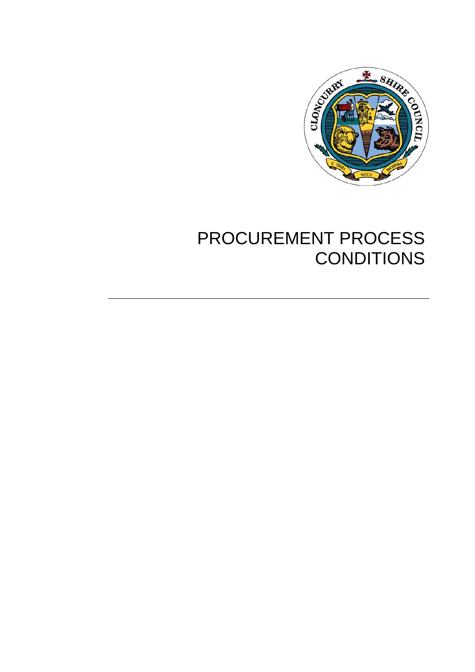

# PROCUREMENT PROCESS **CONDITIONS**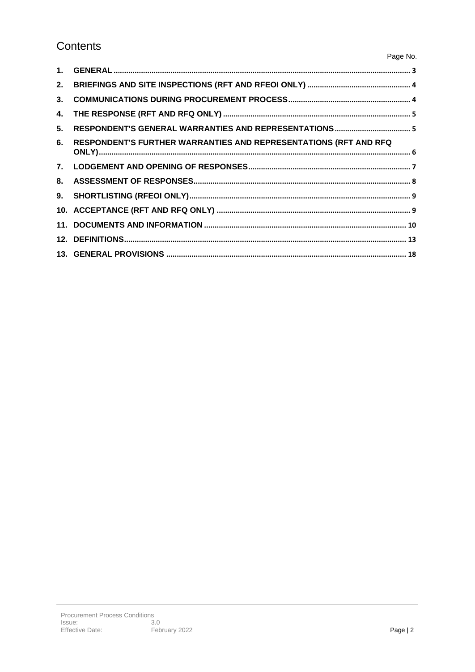# Contents

| 3. |                                                                  |  |
|----|------------------------------------------------------------------|--|
|    |                                                                  |  |
| 5. |                                                                  |  |
| 6. | RESPONDENT'S FURTHER WARRANTIES AND REPRESENTATIONS (RFT AND RFQ |  |
|    |                                                                  |  |
|    |                                                                  |  |
|    |                                                                  |  |
|    |                                                                  |  |
|    |                                                                  |  |
|    |                                                                  |  |
|    |                                                                  |  |

Page No.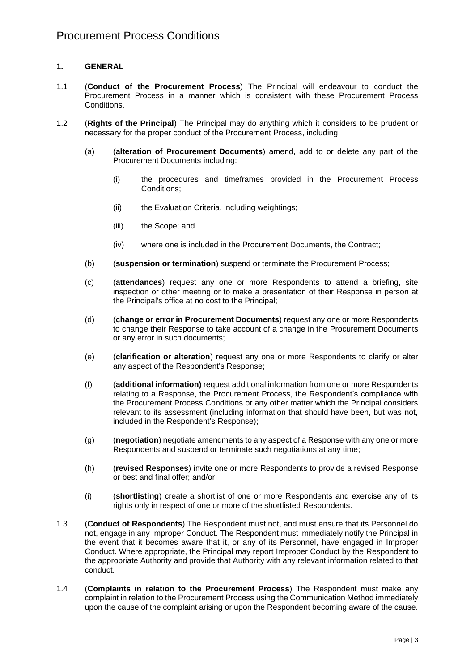## **1. GENERAL**

- 1.1 (**Conduct of the Procurement Process**) The Principal will endeavour to conduct the Procurement Process in a manner which is consistent with these Procurement Process Conditions.
- 1.2 (**Rights of the Principal**) The Principal may do anything which it considers to be prudent or necessary for the proper conduct of the Procurement Process, including:
	- (a) (**alteration of Procurement Documents**) amend, add to or delete any part of the Procurement Documents including:
		- (i) the procedures and timeframes provided in the Procurement Process Conditions;
		- (ii) the Evaluation Criteria, including weightings;
		- (iii) the Scope; and
		- (iv) where one is included in the Procurement Documents, the Contract;
	- (b) (**suspension or termination**) suspend or terminate the Procurement Process;
	- (c) (**attendances**) request any one or more Respondents to attend a briefing, site inspection or other meeting or to make a presentation of their Response in person at the Principal's office at no cost to the Principal;
	- (d) (**change or error in Procurement Documents**) request any one or more Respondents to change their Response to take account of a change in the Procurement Documents or any error in such documents;
	- (e) (**clarification or alteration**) request any one or more Respondents to clarify or alter any aspect of the Respondent's Response;
	- (f) (**additional information)** request additional information from one or more Respondents relating to a Response, the Procurement Process, the Respondent's compliance with the Procurement Process Conditions or any other matter which the Principal considers relevant to its assessment (including information that should have been, but was not, included in the Respondent's Response);
	- (g) (**negotiation**) negotiate amendments to any aspect of a Response with any one or more Respondents and suspend or terminate such negotiations at any time;
	- (h) (**revised Responses**) invite one or more Respondents to provide a revised Response or best and final offer; and/or
	- (i) (**shortlisting**) create a shortlist of one or more Respondents and exercise any of its rights only in respect of one or more of the shortlisted Respondents.
- 1.3 (**Conduct of Respondents**) The Respondent must not, and must ensure that its Personnel do not, engage in any Improper Conduct. The Respondent must immediately notify the Principal in the event that it becomes aware that it, or any of its Personnel, have engaged in Improper Conduct. Where appropriate, the Principal may report Improper Conduct by the Respondent to the appropriate Authority and provide that Authority with any relevant information related to that conduct.
- 1.4 (**Complaints in relation to the Procurement Process**) The Respondent must make any complaint in relation to the Procurement Process using the Communication Method immediately upon the cause of the complaint arising or upon the Respondent becoming aware of the cause.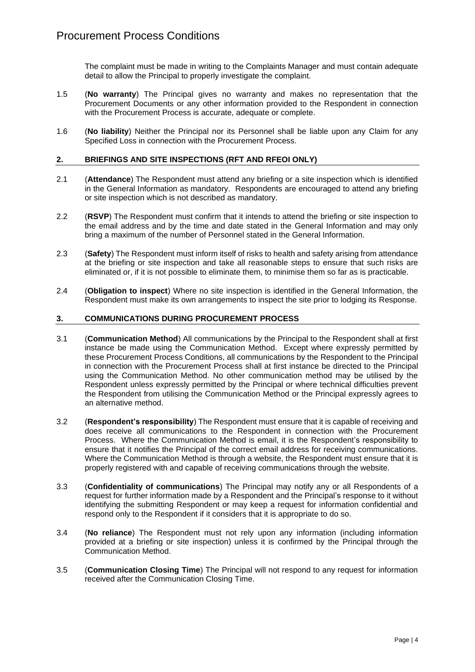The complaint must be made in writing to the Complaints Manager and must contain adequate detail to allow the Principal to properly investigate the complaint.

- 1.5 (**No warranty**) The Principal gives no warranty and makes no representation that the Procurement Documents or any other information provided to the Respondent in connection with the Procurement Process is accurate, adequate or complete.
- 1.6 (**No liability**) Neither the Principal nor its Personnel shall be liable upon any Claim for any Specified Loss in connection with the Procurement Process.

#### **2. BRIEFINGS AND SITE INSPECTIONS (RFT AND RFEOI ONLY)**

- 2.1 (**Attendance**) The Respondent must attend any briefing or a site inspection which is identified in the General Information as mandatory. Respondents are encouraged to attend any briefing or site inspection which is not described as mandatory.
- 2.2 (**RSVP**) The Respondent must confirm that it intends to attend the briefing or site inspection to the email address and by the time and date stated in the General Information and may only bring a maximum of the number of Personnel stated in the General Information.
- 2.3 (**Safety**) The Respondent must inform itself of risks to health and safety arising from attendance at the briefing or site inspection and take all reasonable steps to ensure that such risks are eliminated or, if it is not possible to eliminate them, to minimise them so far as is practicable.
- 2.4 (**Obligation to inspect**) Where no site inspection is identified in the General Information, the Respondent must make its own arrangements to inspect the site prior to lodging its Response.

#### **3. COMMUNICATIONS DURING PROCUREMENT PROCESS**

- 3.1 (**Communication Method**) All communications by the Principal to the Respondent shall at first instance be made using the Communication Method. Except where expressly permitted by these Procurement Process Conditions, all communications by the Respondent to the Principal in connection with the Procurement Process shall at first instance be directed to the Principal using the Communication Method. No other communication method may be utilised by the Respondent unless expressly permitted by the Principal or where technical difficulties prevent the Respondent from utilising the Communication Method or the Principal expressly agrees to an alternative method.
- 3.2 (**Respondent's responsibility**) The Respondent must ensure that it is capable of receiving and does receive all communications to the Respondent in connection with the Procurement Process. Where the Communication Method is email, it is the Respondent's responsibility to ensure that it notifies the Principal of the correct email address for receiving communications. Where the Communication Method is through a website, the Respondent must ensure that it is properly registered with and capable of receiving communications through the website.
- 3.3 (**Confidentiality of communications**) The Principal may notify any or all Respondents of a request for further information made by a Respondent and the Principal's response to it without identifying the submitting Respondent or may keep a request for information confidential and respond only to the Respondent if it considers that it is appropriate to do so.
- 3.4 (**No reliance**) The Respondent must not rely upon any information (including information provided at a briefing or site inspection) unless it is confirmed by the Principal through the Communication Method.
- 3.5 (**Communication Closing Time**) The Principal will not respond to any request for information received after the Communication Closing Time.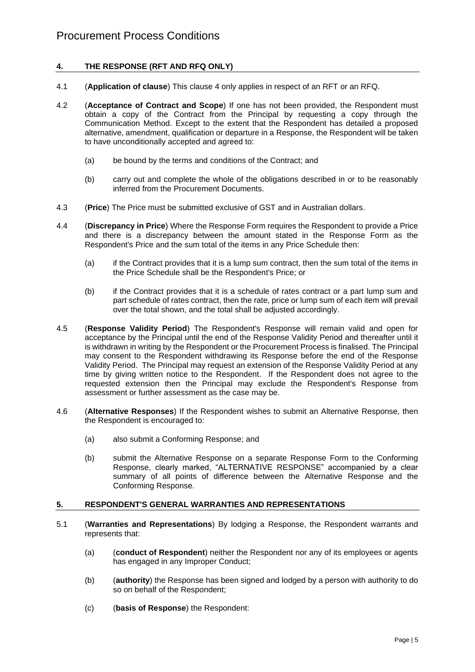## <span id="page-4-0"></span>**4. THE RESPONSE (RFT AND RFQ ONLY)**

- 4.1 (**Application of clause**) This clause [4](#page-4-0) only applies in respect of an RFT or an RFQ.
- 4.2 (**Acceptance of Contract and Scope**) If one has not been provided, the Respondent must obtain a copy of the Contract from the Principal by requesting a copy through the Communication Method. Except to the extent that the Respondent has detailed a proposed alternative, amendment, qualification or departure in a Response, the Respondent will be taken to have unconditionally accepted and agreed to:
	- (a) be bound by the terms and conditions of the Contract; and
	- (b) carry out and complete the whole of the obligations described in or to be reasonably inferred from the Procurement Documents.
- 4.3 (**Price**) The Price must be submitted exclusive of GST and in Australian dollars.
- <span id="page-4-2"></span>4.4 (**Discrepancy in Price**) Where the Response Form requires the Respondent to provide a Price and there is a discrepancy between the amount stated in the Response Form as the Respondent's Price and the sum total of the items in any Price Schedule then:
	- (a) if the Contract provides that it is a lump sum contract, then the sum total of the items in the Price Schedule shall be the Respondent's Price; or
	- (b) if the Contract provides that it is a schedule of rates contract or a part lump sum and part schedule of rates contract, then the rate, price or lump sum of each item will prevail over the total shown, and the total shall be adjusted accordingly.
- <span id="page-4-3"></span>4.5 (**Response Validity Period**) The Respondent's Response will remain valid and open for acceptance by the Principal until the end of the Response Validity Period and thereafter until it is withdrawn in writing by the Respondent or the Procurement Process is finalised. The Principal may consent to the Respondent withdrawing its Response before the end of the Response Validity Period. The Principal may request an extension of the Response Validity Period at any time by giving written notice to the Respondent. If the Respondent does not agree to the requested extension then the Principal may exclude the Respondent's Response from assessment or further assessment as the case may be.
- 4.6 (**Alternative Responses**) If the Respondent wishes to submit an Alternative Response, then the Respondent is encouraged to:
	- (a) also submit a Conforming Response; and
	- (b) submit the Alternative Response on a separate Response Form to the Conforming Response, clearly marked, "ALTERNATIVE RESPONSE" accompanied by a clear summary of all points of difference between the Alternative Response and the Conforming Response.

#### <span id="page-4-1"></span>**5. RESPONDENT'S GENERAL WARRANTIES AND REPRESENTATIONS**

- 5.1 (**Warranties and Representations**) By lodging a Response, the Respondent warrants and represents that:
	- (a) (**conduct of Respondent**) neither the Respondent nor any of its employees or agents has engaged in any Improper Conduct;
	- (b) (**authority**) the Response has been signed and lodged by a person with authority to do so on behalf of the Respondent;
	- (c) (**basis of Response**) the Respondent: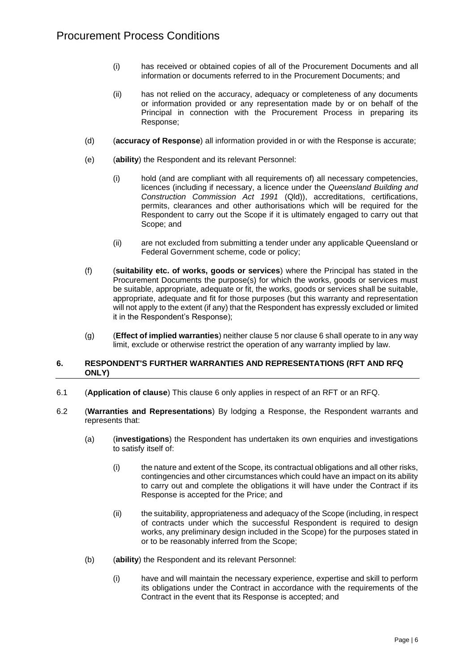- (i) has received or obtained copies of all of the Procurement Documents and all information or documents referred to in the Procurement Documents; and
- (ii) has not relied on the accuracy, adequacy or completeness of any documents or information provided or any representation made by or on behalf of the Principal in connection with the Procurement Process in preparing its Response;
- (d) (**accuracy of Response**) all information provided in or with the Response is accurate;
- (e) (**ability**) the Respondent and its relevant Personnel:
	- (i) hold (and are compliant with all requirements of) all necessary competencies, licences (including if necessary, a licence under the *Queensland Building and Construction Commission Act 1991* (Qld)), accreditations, certifications, permits, clearances and other authorisations which will be required for the Respondent to carry out the Scope if it is ultimately engaged to carry out that Scope; and
	- (ii) are not excluded from submitting a tender under any applicable Queensland or Federal Government scheme, code or policy;
- (f) (**suitability etc. of works, goods or services**) where the Principal has stated in the Procurement Documents the purpose(s) for which the works, goods or services must be suitable, appropriate, adequate or fit, the works, goods or services shall be suitable, appropriate, adequate and fit for those purposes (but this warranty and representation will not apply to the extent (if any) that the Respondent has expressly excluded or limited it in the Respondent's Response);
- (g) (**Effect of implied warranties**) neither clause [5](#page-4-1) nor claus[e 6](#page-5-0) shall operate to in any way limit, exclude or otherwise restrict the operation of any warranty implied by law.

#### <span id="page-5-0"></span>**6. RESPONDENT'S FURTHER WARRANTIES AND REPRESENTATIONS (RFT AND RFQ ONLY)**

- 6.1 (**Application of clause**) This clause [6](#page-5-0) only applies in respect of an RFT or an RFQ.
- 6.2 (**Warranties and Representations**) By lodging a Response, the Respondent warrants and represents that:
	- (a) (**investigations**) the Respondent has undertaken its own enquiries and investigations to satisfy itself of:
		- (i) the nature and extent of the Scope, its contractual obligations and all other risks, contingencies and other circumstances which could have an impact on its ability to carry out and complete the obligations it will have under the Contract if its Response is accepted for the Price; and
		- (ii) the suitability, appropriateness and adequacy of the Scope (including, in respect of contracts under which the successful Respondent is required to design works, any preliminary design included in the Scope) for the purposes stated in or to be reasonably inferred from the Scope;
	- (b) (**ability**) the Respondent and its relevant Personnel:
		- (i) have and will maintain the necessary experience, expertise and skill to perform its obligations under the Contract in accordance with the requirements of the Contract in the event that its Response is accepted; and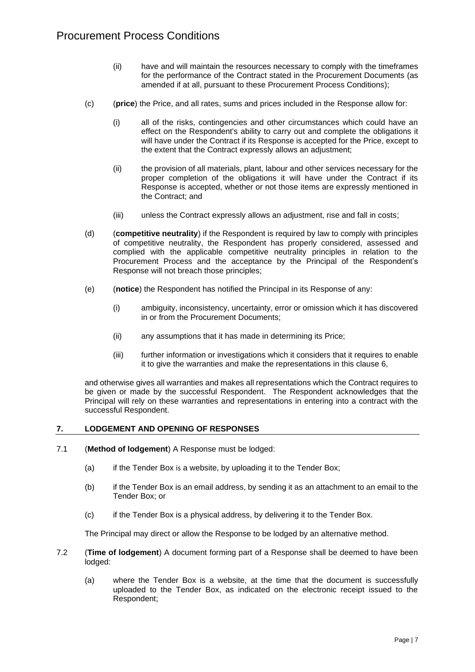- (ii) have and will maintain the resources necessary to comply with the timeframes for the performance of the Contract stated in the Procurement Documents (as amended if at all, pursuant to these Procurement Process Conditions);
- (c) (**price**) the Price, and all rates, sums and prices included in the Response allow for:
	- (i) all of the risks, contingencies and other circumstances which could have an effect on the Respondent's ability to carry out and complete the obligations it will have under the Contract if its Response is accepted for the Price, except to the extent that the Contract expressly allows an adjustment;
	- (ii) the provision of all materials, plant, labour and other services necessary for the proper completion of the obligations it will have under the Contract if its Response is accepted, whether or not those items are expressly mentioned in the Contract; and
	- (iii) unless the Contract expressly allows an adjustment, rise and fall in costs;
- (d) (**competitive neutrality**) if the Respondent is required by law to comply with principles of competitive neutrality, the Respondent has properly considered, assessed and complied with the applicable competitive neutrality principles in relation to the Procurement Process and the acceptance by the Principal of the Respondent's Response will not breach those principles;
- (e) (**notice**) the Respondent has notified the Principal in its Response of any:
	- (i) ambiguity, inconsistency, uncertainty, error or omission which it has discovered in or from the Procurement Documents;
	- (ii) any assumptions that it has made in determining its Price;
	- (iii) further information or investigations which it considers that it requires to enable it to give the warranties and make the representations in this clause [6,](#page-5-0)

and otherwise gives all warranties and makes all representations which the Contract requires to be given or made by the successful Respondent. The Respondent acknowledges that the Principal will rely on these warranties and representations in entering into a contract with the successful Respondent.

#### **7. LODGEMENT AND OPENING OF RESPONSES**

- 7.1 (**Method of lodgement**) A Response must be lodged:
	- (a) if the Tender Box is a website, by uploading it to the Tender Box;
	- (b) if the Tender Box is an email address, by sending it as an attachment to an email to the Tender Box; or
	- (c) if the Tender Box is a physical address, by delivering it to the Tender Box.

The Principal may direct or allow the Response to be lodged by an alternative method.

- 7.2 (**Time of lodgement**) A document forming part of a Response shall be deemed to have been lodged:
	- (a) where the Tender Box is a website, at the time that the document is successfully uploaded to the Tender Box, as indicated on the electronic receipt issued to the Respondent;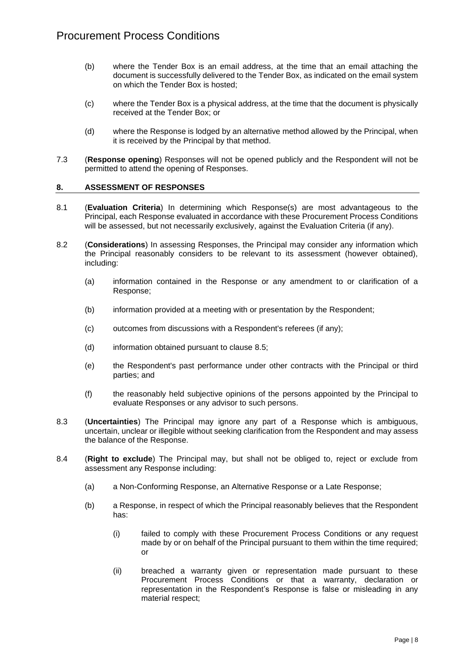- (b) where the Tender Box is an email address, at the time that an email attaching the document is successfully delivered to the Tender Box, as indicated on the email system on which the Tender Box is hosted;
- (c) where the Tender Box is a physical address, at the time that the document is physically received at the Tender Box; or
- (d) where the Response is lodged by an alternative method allowed by the Principal, when it is received by the Principal by that method.
- 7.3 (**Response opening**) Responses will not be opened publicly and the Respondent will not be permitted to attend the opening of Responses.

#### **8. ASSESSMENT OF RESPONSES**

- 8.1 (**Evaluation Criteria**) In determining which Response(s) are most advantageous to the Principal, each Response evaluated in accordance with these Procurement Process Conditions will be assessed, but not necessarily exclusively, against the Evaluation Criteria (if any).
- 8.2 (**Considerations**) In assessing Responses, the Principal may consider any information which the Principal reasonably considers to be relevant to its assessment (however obtained), including:
	- (a) information contained in the Response or any amendment to or clarification of a Response;
	- (b) information provided at a meeting with or presentation by the Respondent;
	- $(c)$  outcomes from discussions with a Respondent's referees (if any);
	- (d) information obtained pursuant to clause [8.5;](#page-8-0)
	- (e) the Respondent's past performance under other contracts with the Principal or third parties; and
	- (f) the reasonably held subjective opinions of the persons appointed by the Principal to evaluate Responses or any advisor to such persons.
- 8.3 (**Uncertainties**) The Principal may ignore any part of a Response which is ambiguous, uncertain, unclear or illegible without seeking clarification from the Respondent and may assess the balance of the Response.
- 8.4 (**Right to exclude**) The Principal may, but shall not be obliged to, reject or exclude from assessment any Response including:
	- (a) a Non-Conforming Response, an Alternative Response or a Late Response;
	- (b) a Response, in respect of which the Principal reasonably believes that the Respondent has:
		- (i) failed to comply with these Procurement Process Conditions or any request made by or on behalf of the Principal pursuant to them within the time required; or
		- (ii) breached a warranty given or representation made pursuant to these Procurement Process Conditions or that a warranty, declaration or representation in the Respondent's Response is false or misleading in any material respect;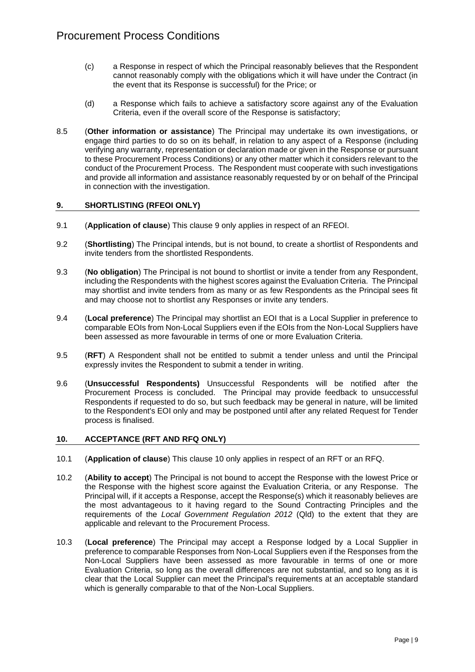- (c) a Response in respect of which the Principal reasonably believes that the Respondent cannot reasonably comply with the obligations which it will have under the Contract (in the event that its Response is successful) for the Price; or
- (d) a Response which fails to achieve a satisfactory score against any of the Evaluation Criteria, even if the overall score of the Response is satisfactory;
- <span id="page-8-0"></span>8.5 (**Other information or assistance**) The Principal may undertake its own investigations, or engage third parties to do so on its behalf, in relation to any aspect of a Response (including verifying any warranty, representation or declaration made or given in the Response or pursuant to these Procurement Process Conditions) or any other matter which it considers relevant to the conduct of the Procurement Process. The Respondent must cooperate with such investigations and provide all information and assistance reasonably requested by or on behalf of the Principal in connection with the investigation.

#### <span id="page-8-1"></span>**9. SHORTLISTING (RFEOI ONLY)**

- 9.1 (**Application of clause**) This clause [9](#page-8-1) only applies in respect of an RFEOI.
- 9.2 (**Shortlisting**) The Principal intends, but is not bound, to create a shortlist of Respondents and invite tenders from the shortlisted Respondents.
- 9.3 (**No obligation**) The Principal is not bound to shortlist or invite a tender from any Respondent, including the Respondents with the highest scores against the Evaluation Criteria. The Principal may shortlist and invite tenders from as many or as few Respondents as the Principal sees fit and may choose not to shortlist any Responses or invite any tenders.
- 9.4 (**Local preference**) The Principal may shortlist an EOI that is a Local Supplier in preference to comparable EOIs from Non-Local Suppliers even if the EOIs from the Non-Local Suppliers have been assessed as more favourable in terms of one or more Evaluation Criteria.
- 9.5 (**RFT**) A Respondent shall not be entitled to submit a tender unless and until the Principal expressly invites the Respondent to submit a tender in writing.
- 9.6 (**Unsuccessful Respondents)** Unsuccessful Respondents will be notified after the Procurement Process is concluded. The Principal may provide feedback to unsuccessful Respondents if requested to do so, but such feedback may be general in nature, will be limited to the Respondent's EOI only and may be postponed until after any related Request for Tender process is finalised.

#### <span id="page-8-2"></span>**10. ACCEPTANCE (RFT AND RFQ ONLY)**

- 10.1 (**Application of clause**) This clause [10](#page-8-2) only applies in respect of an RFT or an RFQ.
- 10.2 (**Ability to accept**) The Principal is not bound to accept the Response with the lowest Price or the Response with the highest score against the Evaluation Criteria, or any Response. The Principal will, if it accepts a Response, accept the Response(s) which it reasonably believes are the most advantageous to it having regard to the Sound Contracting Principles and the requirements of the *Local Government Regulation 2012* (Qld) to the extent that they are applicable and relevant to the Procurement Process.
- 10.3 (**Local preference**) The Principal may accept a Response lodged by a Local Supplier in preference to comparable Responses from Non-Local Suppliers even if the Responses from the Non-Local Suppliers have been assessed as more favourable in terms of one or more Evaluation Criteria, so long as the overall differences are not substantial, and so long as it is clear that the Local Supplier can meet the Principal's requirements at an acceptable standard which is generally comparable to that of the Non-Local Suppliers.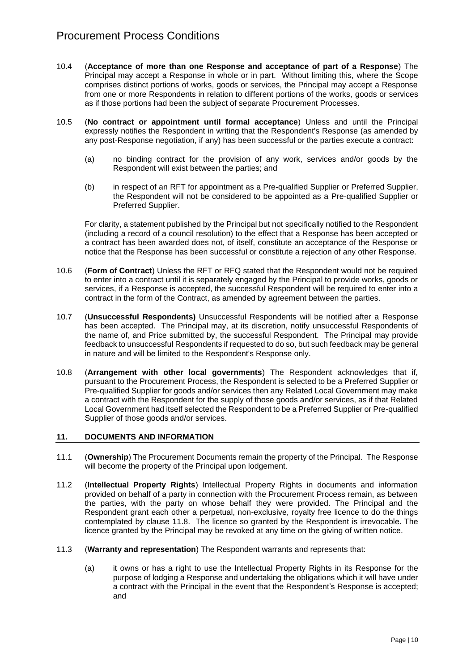- 10.4 (**Acceptance of more than one Response and acceptance of part of a Response**) The Principal may accept a Response in whole or in part. Without limiting this, where the Scope comprises distinct portions of works, goods or services, the Principal may accept a Response from one or more Respondents in relation to different portions of the works, goods or services as if those portions had been the subject of separate Procurement Processes.
- 10.5 (**No contract or appointment until formal acceptance**) Unless and until the Principal expressly notifies the Respondent in writing that the Respondent's Response (as amended by any post-Response negotiation, if any) has been successful or the parties execute a contract:
	- (a) no binding contract for the provision of any work, services and/or goods by the Respondent will exist between the parties; and
	- (b) in respect of an RFT for appointment as a Pre-qualified Supplier or Preferred Supplier, the Respondent will not be considered to be appointed as a Pre-qualified Supplier or Preferred Supplier.

For clarity, a statement published by the Principal but not specifically notified to the Respondent (including a record of a council resolution) to the effect that a Response has been accepted or a contract has been awarded does not, of itself, constitute an acceptance of the Response or notice that the Response has been successful or constitute a rejection of any other Response.

- 10.6 (**Form of Contract**) Unless the RFT or RFQ stated that the Respondent would not be required to enter into a contract until it is separately engaged by the Principal to provide works, goods or services, if a Response is accepted, the successful Respondent will be required to enter into a contract in the form of the Contract, as amended by agreement between the parties.
- 10.7 (**Unsuccessful Respondents)** Unsuccessful Respondents will be notified after a Response has been accepted. The Principal may, at its discretion, notify unsuccessful Respondents of the name of, and Price submitted by, the successful Respondent. The Principal may provide feedback to unsuccessful Respondents if requested to do so, but such feedback may be general in nature and will be limited to the Respondent's Response only.
- 10.8 (**Arrangement with other local governments**) The Respondent acknowledges that if, pursuant to the Procurement Process, the Respondent is selected to be a Preferred Supplier or Pre-qualified Supplier for goods and/or services then any Related Local Government may make a contract with the Respondent for the supply of those goods and/or services, as if that Related Local Government had itself selected the Respondent to be a Preferred Supplier or Pre-qualified Supplier of those goods and/or services.

#### **11. DOCUMENTS AND INFORMATION**

- 11.1 (**Ownership**) The Procurement Documents remain the property of the Principal. The Response will become the property of the Principal upon lodgement.
- <span id="page-9-0"></span>11.2 (**Intellectual Property Rights**) Intellectual Property Rights in documents and information provided on behalf of a party in connection with the Procurement Process remain, as between the parties, with the party on whose behalf they were provided. The Principal and the Respondent grant each other a perpetual, non-exclusive, royalty free licence to do the things contemplated by clause [11.8.](#page-11-0) The licence so granted by the Respondent is irrevocable. The licence granted by the Principal may be revoked at any time on the giving of written notice.
- 11.3 (**Warranty and representation**) The Respondent warrants and represents that:
	- (a) it owns or has a right to use the Intellectual Property Rights in its Response for the purpose of lodging a Response and undertaking the obligations which it will have under a contract with the Principal in the event that the Respondent's Response is accepted; and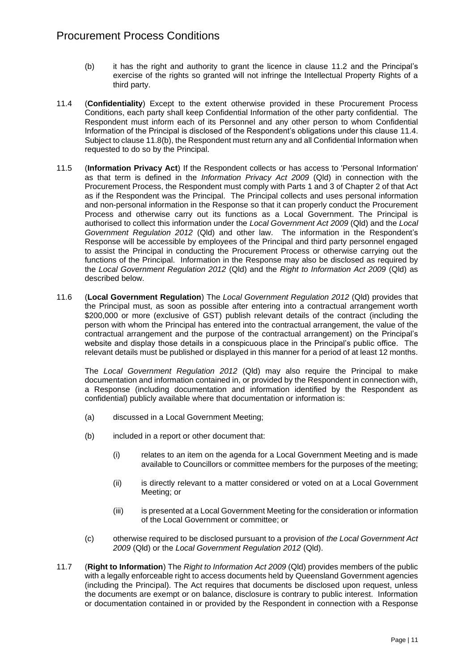- (b) it has the right and authority to grant the licence in clause [11.2](#page-9-0) and the Principal's exercise of the rights so granted will not infringe the Intellectual Property Rights of a third party.
- <span id="page-10-0"></span>11.4 (**Confidentiality**) Except to the extent otherwise provided in these Procurement Process Conditions, each party shall keep Confidential Information of the other party confidential. The Respondent must inform each of its Personnel and any other person to whom Confidential Information of the Principal is disclosed of the Respondent's obligations under this clause [11.4.](#page-10-0) Subject to claus[e 11.8\(b\),](#page-11-1) the Respondent must return any and all Confidential Information when requested to do so by the Principal.
- 11.5 (**Information Privacy Act**) If the Respondent collects or has access to 'Personal Information' as that term is defined in the *Information Privacy Act 2009* (Qld) in connection with the Procurement Process, the Respondent must comply with Parts 1 and 3 of Chapter 2 of that Act as if the Respondent was the Principal. The Principal collects and uses personal information and non-personal information in the Response so that it can properly conduct the Procurement Process and otherwise carry out its functions as a Local Government. The Principal is authorised to collect this information under the *Local Government Act 2009* (Qld) and the *Local Government Regulation 2012* (Qld) and other law. The information in the Respondent's Response will be accessible by employees of the Principal and third party personnel engaged to assist the Principal in conducting the Procurement Process or otherwise carrying out the functions of the Principal. Information in the Response may also be disclosed as required by the *Local Government Regulation 2012* (Qld) and the *Right to Information Act 2009* (Qld) as described below.
- 11.6 (**Local Government Regulation**) The *Local Government Regulation 2012* (Qld) provides that the Principal must, as soon as possible after entering into a contractual arrangement worth \$200,000 or more (exclusive of GST) publish relevant details of the contract (including the person with whom the Principal has entered into the contractual arrangement, the value of the contractual arrangement and the purpose of the contractual arrangement) on the Principal's website and display those details in a conspicuous place in the Principal's public office. The relevant details must be published or displayed in this manner for a period of at least 12 months.

The *Local Government Regulation 2012* (Qld) may also require the Principal to make documentation and information contained in, or provided by the Respondent in connection with, a Response (including documentation and information identified by the Respondent as confidential) publicly available where that documentation or information is:

- (a) discussed in a Local Government Meeting;
- (b) included in a report or other document that:
	- (i) relates to an item on the agenda for a Local Government Meeting and is made available to Councillors or committee members for the purposes of the meeting;
	- (ii) is directly relevant to a matter considered or voted on at a Local Government Meeting; or
	- (iii) is presented at a Local Government Meeting for the consideration or information of the Local Government or committee; or
- (c) otherwise required to be disclosed pursuant to a provision of *the Local Government Act 2009* (Qld) or the *Local Government Regulation 2012* (Qld).
- 11.7 (**Right to Information**) The *Right to Information Act 2009* (Qld) provides members of the public with a legally enforceable right to access documents held by Queensland Government agencies (including the Principal). The Act requires that documents be disclosed upon request, unless the documents are exempt or on balance, disclosure is contrary to public interest. Information or documentation contained in or provided by the Respondent in connection with a Response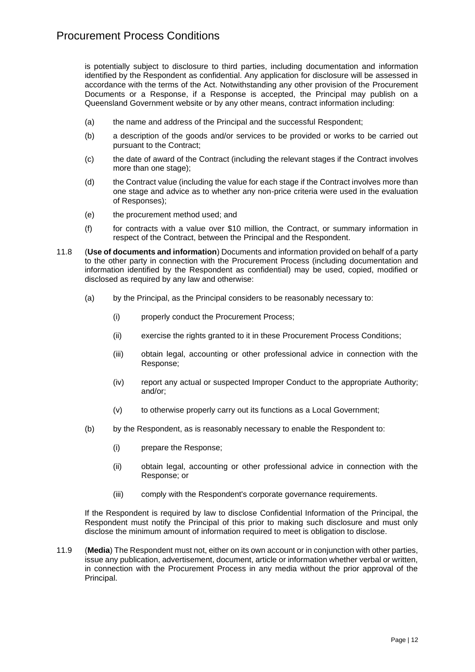is potentially subject to disclosure to third parties, including documentation and information identified by the Respondent as confidential. Any application for disclosure will be assessed in accordance with the terms of the Act. Notwithstanding any other provision of the Procurement Documents or a Response, if a Response is accepted, the Principal may publish on a Queensland Government website or by any other means, contract information including:

- (a) the name and address of the Principal and the successful Respondent;
- (b) a description of the goods and/or services to be provided or works to be carried out pursuant to the Contract;
- (c) the date of award of the Contract (including the relevant stages if the Contract involves more than one stage);
- (d) the Contract value (including the value for each stage if the Contract involves more than one stage and advice as to whether any non-price criteria were used in the evaluation of Responses);
- (e) the procurement method used; and
- (f) for contracts with a value over \$10 million, the Contract, or summary information in respect of the Contract, between the Principal and the Respondent.
- <span id="page-11-0"></span>11.8 (**Use of documents and information**) Documents and information provided on behalf of a party to the other party in connection with the Procurement Process (including documentation and information identified by the Respondent as confidential) may be used, copied, modified or disclosed as required by any law and otherwise:
	- (a) by the Principal, as the Principal considers to be reasonably necessary to:
		- (i) properly conduct the Procurement Process;
		- (ii) exercise the rights granted to it in these Procurement Process Conditions;
		- (iii) obtain legal, accounting or other professional advice in connection with the Response;
		- (iv) report any actual or suspected Improper Conduct to the appropriate Authority; and/or;
		- (v) to otherwise properly carry out its functions as a Local Government;
	- (b) by the Respondent, as is reasonably necessary to enable the Respondent to:
		- (i) prepare the Response;
		- (ii) obtain legal, accounting or other professional advice in connection with the Response; or
		- (iii) comply with the Respondent's corporate governance requirements.

<span id="page-11-1"></span>If the Respondent is required by law to disclose Confidential Information of the Principal, the Respondent must notify the Principal of this prior to making such disclosure and must only disclose the minimum amount of information required to meet is obligation to disclose.

11.9 (**Media**) The Respondent must not, either on its own account or in conjunction with other parties, issue any publication, advertisement, document, article or information whether verbal or written, in connection with the Procurement Process in any media without the prior approval of the Principal.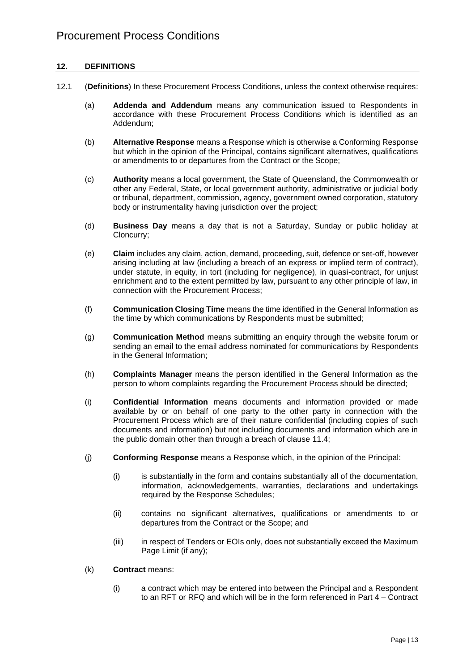#### **12. DEFINITIONS**

- 12.1 (**Definitions**) In these Procurement Process Conditions, unless the context otherwise requires:
	- (a) **Addenda and Addendum** means any communication issued to Respondents in accordance with these Procurement Process Conditions which is identified as an Addendum;
	- (b) **Alternative Response** means a Response which is otherwise a Conforming Response but which in the opinion of the Principal, contains significant alternatives, qualifications or amendments to or departures from the Contract or the Scope;
	- (c) **Authority** means a local government, the State of Queensland, the Commonwealth or other any Federal, State, or local government authority, administrative or judicial body or tribunal, department, commission, agency, government owned corporation, statutory body or instrumentality having jurisdiction over the project;
	- (d) **Business Day** means a day that is not a Saturday, Sunday or public holiday at Cloncurry;
	- (e) **Claim** includes any claim, action, demand, proceeding, suit, defence or set-off, however arising including at law (including a breach of an express or implied term of contract), under statute, in equity, in tort (including for negligence), in quasi-contract, for unjust enrichment and to the extent permitted by law, pursuant to any other principle of law, in connection with the Procurement Process;
	- (f) **Communication Closing Time** means the time identified in the General Information as the time by which communications by Respondents must be submitted;
	- (g) **Communication Method** means submitting an enquiry through the website forum or sending an email to the email address nominated for communications by Respondents in the General Information;
	- (h) **Complaints Manager** means the person identified in the General Information as the person to whom complaints regarding the Procurement Process should be directed;
	- (i) **Confidential Information** means documents and information provided or made available by or on behalf of one party to the other party in connection with the Procurement Process which are of their nature confidential (including copies of such documents and information) but not including documents and information which are in the public domain other than through a breach of clause [11.4;](#page-10-0)
	- (j) **Conforming Response** means a Response which, in the opinion of the Principal:
		- (i) is substantially in the form and contains substantially all of the documentation, information, acknowledgements, warranties, declarations and undertakings required by the Response Schedules;
		- (ii) contains no significant alternatives, qualifications or amendments to or departures from the Contract or the Scope; and
		- (iii) in respect of Tenders or EOIs only, does not substantially exceed the Maximum Page Limit (if any);
	- (k) **Contract** means:
		- (i) a contract which may be entered into between the Principal and a Respondent to an RFT or RFQ and which will be in the form referenced in Part 4 – Contract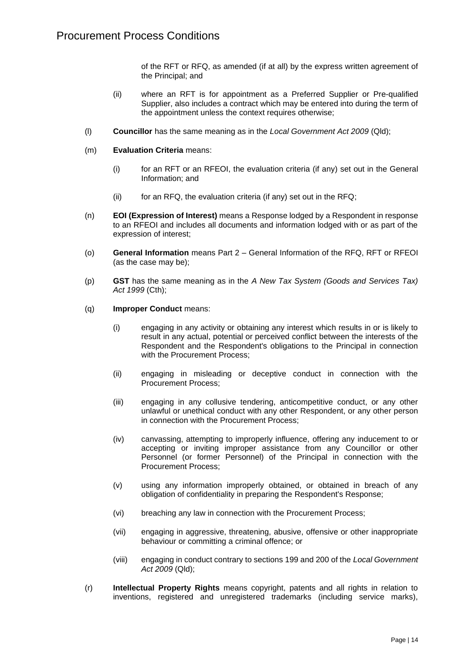of the RFT or RFQ, as amended (if at all) by the express written agreement of the Principal; and

- (ii) where an RFT is for appointment as a Preferred Supplier or Pre-qualified Supplier, also includes a contract which may be entered into during the term of the appointment unless the context requires otherwise;
- (l) **Councillor** has the same meaning as in the *Local Government Act 2009* (Qld);
- (m) **Evaluation Criteria** means:
	- (i) for an RFT or an RFEOI, the evaluation criteria (if any) set out in the General Information; and
	- (ii) for an RFQ, the evaluation criteria (if any) set out in the RFQ;
- (n) **EOI (Expression of Interest)** means a Response lodged by a Respondent in response to an RFEOI and includes all documents and information lodged with or as part of the expression of interest;
- (o) **General Information** means Part 2 General Information of the RFQ, RFT or RFEOI (as the case may be);
- (p) **GST** has the same meaning as in the *A New Tax System (Goods and Services Tax) Act 1999* (Cth);
- (q) **Improper Conduct** means:
	- (i) engaging in any activity or obtaining any interest which results in or is likely to result in any actual, potential or perceived conflict between the interests of the Respondent and the Respondent's obligations to the Principal in connection with the Procurement Process:
	- (ii) engaging in misleading or deceptive conduct in connection with the Procurement Process;
	- (iii) engaging in any collusive tendering, anticompetitive conduct, or any other unlawful or unethical conduct with any other Respondent, or any other person in connection with the Procurement Process;
	- (iv) canvassing, attempting to improperly influence, offering any inducement to or accepting or inviting improper assistance from any Councillor or other Personnel (or former Personnel) of the Principal in connection with the Procurement Process;
	- (v) using any information improperly obtained, or obtained in breach of any obligation of confidentiality in preparing the Respondent's Response;
	- (vi) breaching any law in connection with the Procurement Process;
	- (vii) engaging in aggressive, threatening, abusive, offensive or other inappropriate behaviour or committing a criminal offence; or
	- (viii) engaging in conduct contrary to sections 199 and 200 of the *Local Government Act 2009* (Qld);
- (r) **Intellectual Property Rights** means copyright, patents and all rights in relation to inventions, registered and unregistered trademarks (including service marks),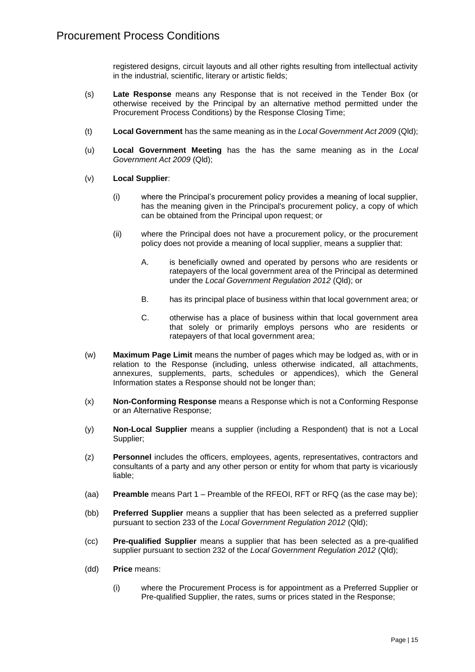registered designs, circuit layouts and all other rights resulting from intellectual activity in the industrial, scientific, literary or artistic fields;

- (s) **Late Response** means any Response that is not received in the Tender Box (or otherwise received by the Principal by an alternative method permitted under the Procurement Process Conditions) by the Response Closing Time;
- (t) **Local Government** has the same meaning as in the *Local Government Act 2009* (Qld);
- (u) **Local Government Meeting** has the has the same meaning as in the *Local Government Act 2009* (Qld);
- (v) **Local Supplier**:
	- (i) where the Principal's procurement policy provides a meaning of local supplier, has the meaning given in the Principal's procurement policy, a copy of which can be obtained from the Principal upon request; or
	- (ii) where the Principal does not have a procurement policy, or the procurement policy does not provide a meaning of local supplier, means a supplier that:
		- A. is beneficially owned and operated by persons who are residents or ratepayers of the local government area of the Principal as determined under the *Local Government Regulation 2012* (Qld); or
		- B. has its principal place of business within that local government area; or
		- C. otherwise has a place of business within that local government area that solely or primarily employs persons who are residents or ratepayers of that local government area;
- (w) **Maximum Page Limit** means the number of pages which may be lodged as, with or in relation to the Response (including, unless otherwise indicated, all attachments, annexures, supplements, parts, schedules or appendices), which the General Information states a Response should not be longer than;
- (x) **Non-Conforming Response** means a Response which is not a Conforming Response or an Alternative Response;
- (y) **Non-Local Supplier** means a supplier (including a Respondent) that is not a Local Supplier;
- (z) **Personnel** includes the officers, employees, agents, representatives, contractors and consultants of a party and any other person or entity for whom that party is vicariously liable;
- (aa) **Preamble** means Part 1 Preamble of the RFEOI, RFT or RFQ (as the case may be);
- (bb) **Preferred Supplier** means a supplier that has been selected as a preferred supplier pursuant to section 233 of the *Local Government Regulation 2012* (Qld);
- (cc) **Pre-qualified Supplier** means a supplier that has been selected as a pre-qualified supplier pursuant to section 232 of the *Local Government Regulation 2012* (Qld);
- (dd) **Price** means:
	- (i) where the Procurement Process is for appointment as a Preferred Supplier or Pre-qualified Supplier, the rates, sums or prices stated in the Response;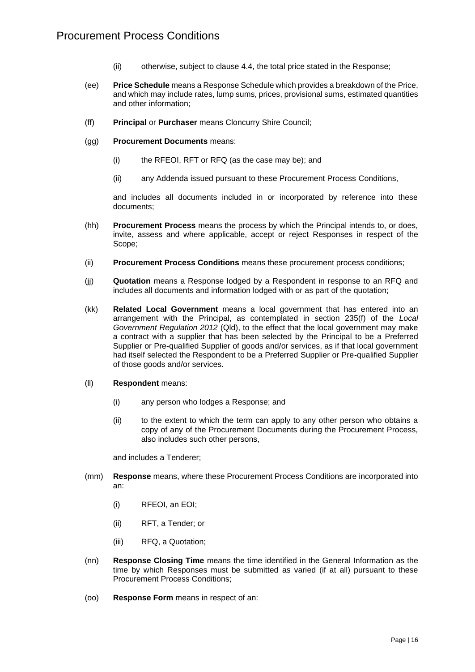- (ii) otherwise, subject to clause [4.4,](#page-4-2) the total price stated in the Response;
- (ee) **Price Schedule** means a Response Schedule which provides a breakdown of the Price, and which may include rates, lump sums, prices, provisional sums, estimated quantities and other information;
- (ff) **Principal** or **Purchaser** means Cloncurry Shire Council;
- (gg) **Procurement Documents** means:
	- (i) the RFEOI, RFT or RFQ (as the case may be); and
	- (ii) any Addenda issued pursuant to these Procurement Process Conditions,

and includes all documents included in or incorporated by reference into these documents;

- (hh) **Procurement Process** means the process by which the Principal intends to, or does, invite, assess and where applicable, accept or reject Responses in respect of the Scope;
- (ii) **Procurement Process Conditions** means these procurement process conditions;
- (jj) **Quotation** means a Response lodged by a Respondent in response to an RFQ and includes all documents and information lodged with or as part of the quotation;
- (kk) **Related Local Government** means a local government that has entered into an arrangement with the Principal, as contemplated in section 235(f) of the *Local Government Regulation 2012* (Qld), to the effect that the local government may make a contract with a supplier that has been selected by the Principal to be a Preferred Supplier or Pre-qualified Supplier of goods and/or services, as if that local government had itself selected the Respondent to be a Preferred Supplier or Pre-qualified Supplier of those goods and/or services.
- (ll) **Respondent** means:
	- (i) any person who lodges a Response; and
	- (ii) to the extent to which the term can apply to any other person who obtains a copy of any of the Procurement Documents during the Procurement Process, also includes such other persons,

and includes a Tenderer;

- (mm) **Response** means, where these Procurement Process Conditions are incorporated into an:
	- (i) RFEOI, an EOI;
	- (ii) RFT, a Tender; or
	- (iii) RFQ, a Quotation;
- (nn) **Response Closing Time** means the time identified in the General Information as the time by which Responses must be submitted as varied (if at all) pursuant to these Procurement Process Conditions;
- (oo) **Response Form** means in respect of an: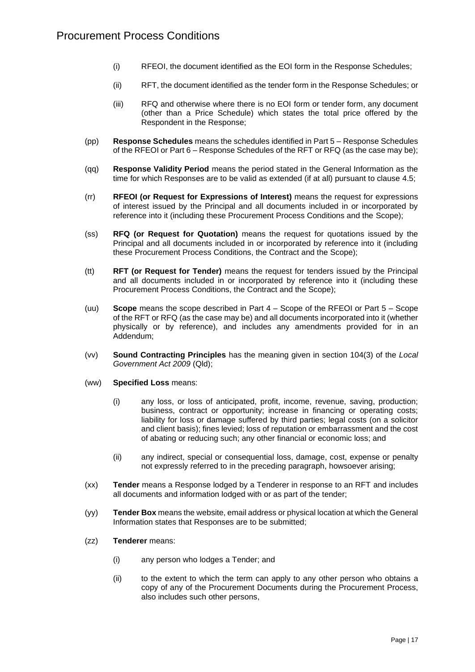- (i) RFEOI, the document identified as the EOI form in the Response Schedules;
- (ii) RFT, the document identified as the tender form in the Response Schedules; or
- (iii) RFQ and otherwise where there is no EOI form or tender form, any document (other than a Price Schedule) which states the total price offered by the Respondent in the Response;
- (pp) **Response Schedules** means the schedules identified in Part 5 Response Schedules of the RFEOI or Part 6 – Response Schedules of the RFT or RFQ (as the case may be);
- (qq) **Response Validity Period** means the period stated in the General Information as the time for which Responses are to be valid as extended (if at all) pursuant to clause [4.5;](#page-4-3)
- (rr) **RFEOI (or Request for Expressions of Interest)** means the request for expressions of interest issued by the Principal and all documents included in or incorporated by reference into it (including these Procurement Process Conditions and the Scope);
- (ss) **RFQ (or Request for Quotation)** means the request for quotations issued by the Principal and all documents included in or incorporated by reference into it (including these Procurement Process Conditions, the Contract and the Scope);
- (tt) **RFT (or Request for Tender)** means the request for tenders issued by the Principal and all documents included in or incorporated by reference into it (including these Procurement Process Conditions, the Contract and the Scope);
- (uu) **Scope** means the scope described in Part 4 Scope of the RFEOI or Part 5 Scope of the RFT or RFQ (as the case may be) and all documents incorporated into it (whether physically or by reference), and includes any amendments provided for in an Addendum;
- (vv) **Sound Contracting Principles** has the meaning given in section 104(3) of the *Local Government Act 2009* (Qld);
- (ww) **Specified Loss** means:
	- (i) any loss, or loss of anticipated, profit, income, revenue, saving, production; business, contract or opportunity; increase in financing or operating costs; liability for loss or damage suffered by third parties; legal costs (on a solicitor and client basis); fines levied; loss of reputation or embarrassment and the cost of abating or reducing such; any other financial or economic loss; and
	- (ii) any indirect, special or consequential loss, damage, cost, expense or penalty not expressly referred to in the preceding paragraph, howsoever arising;
- (xx) **Tender** means a Response lodged by a Tenderer in response to an RFT and includes all documents and information lodged with or as part of the tender;
- (yy) **Tender Box** means the website, email address or physical location at which the General Information states that Responses are to be submitted;
- (zz) **Tenderer** means:
	- (i) any person who lodges a Tender; and
	- (ii) to the extent to which the term can apply to any other person who obtains a copy of any of the Procurement Documents during the Procurement Process, also includes such other persons,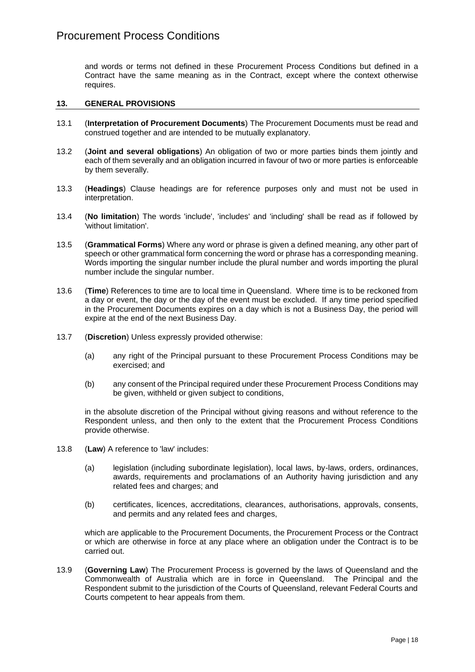and words or terms not defined in these Procurement Process Conditions but defined in a Contract have the same meaning as in the Contract, except where the context otherwise requires.

#### **13. GENERAL PROVISIONS**

- 13.1 (**Interpretation of Procurement Documents**) The Procurement Documents must be read and construed together and are intended to be mutually explanatory.
- 13.2 (**Joint and several obligations**) An obligation of two or more parties binds them jointly and each of them severally and an obligation incurred in favour of two or more parties is enforceable by them severally.
- 13.3 (**Headings**) Clause headings are for reference purposes only and must not be used in interpretation.
- 13.4 (**No limitation**) The words 'include', 'includes' and 'including' shall be read as if followed by 'without limitation'.
- 13.5 (**Grammatical Forms**) Where any word or phrase is given a defined meaning, any other part of speech or other grammatical form concerning the word or phrase has a corresponding meaning. Words importing the singular number include the plural number and words importing the plural number include the singular number.
- 13.6 (**Time**) References to time are to local time in Queensland. Where time is to be reckoned from a day or event, the day or the day of the event must be excluded. If any time period specified in the Procurement Documents expires on a day which is not a Business Day, the period will expire at the end of the next Business Day.
- 13.7 (**Discretion**) Unless expressly provided otherwise:
	- (a) any right of the Principal pursuant to these Procurement Process Conditions may be exercised; and
	- (b) any consent of the Principal required under these Procurement Process Conditions may be given, withheld or given subject to conditions,

in the absolute discretion of the Principal without giving reasons and without reference to the Respondent unless, and then only to the extent that the Procurement Process Conditions provide otherwise.

- 13.8 (**Law**) A reference to 'law' includes:
	- (a) legislation (including subordinate legislation), local laws, by-laws, orders, ordinances, awards, requirements and proclamations of an Authority having jurisdiction and any related fees and charges; and
	- (b) certificates, licences, accreditations, clearances, authorisations, approvals, consents, and permits and any related fees and charges,

which are applicable to the Procurement Documents, the Procurement Process or the Contract or which are otherwise in force at any place where an obligation under the Contract is to be carried out.

13.9 (**Governing Law**) The Procurement Process is governed by the laws of Queensland and the Commonwealth of Australia which are in force in Queensland. The Principal and the Respondent submit to the jurisdiction of the Courts of Queensland, relevant Federal Courts and Courts competent to hear appeals from them.